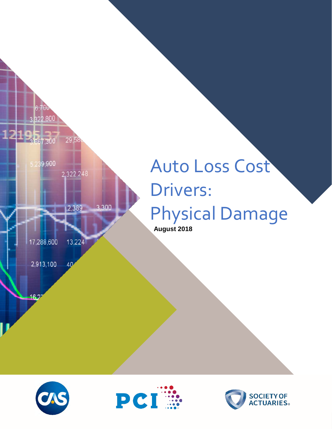

# Auto Loss Cost Drivers: Physical Damage

 **August 2018**





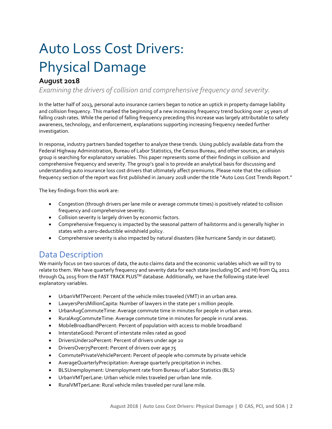## Auto Loss Cost Drivers: Physical Damage

### **August 2018**

*Examining the drivers of collision and comprehensive frequency and severity.* 

In the latter half of 2013, personal auto insurance carriers began to notice an uptick in property damage liability and collision frequency. This marked the beginning of a new increasing frequency trend bucking over 25 years of falling crash rates. While the period of falling frequency preceding this increase was largely attributable to safety awareness, technology, and enforcement, explanations supporting increasing frequency needed further investigation.

In response, industry partners banded together to analyze these trends. Using publicly available data from the Federal Highway Administration, Bureau of Labor Statistics, the Census Bureau, and other sources, an analysis group is searching for explanatory variables. This paper represents some of their findings in collision and comprehensive frequency and severity. The group's goal is to provide an analytical basis for discussing and understanding auto insurance loss cost drivers that ultimately affect premiums. Please note that the collision frequency section of the report was first published in January 2018 under the title "Auto Loss Cost Trends Report."

The key findings from this work are:

- Congestion (through drivers per lane mile or average commute times) is positively related to collision frequency and comprehensive severity.
- Collision severity is largely driven by economic factors.
- Comprehensive frequency is impacted by the seasonal pattern of hailstorms and is generally higher in states with a zero-deductible windshield policy.
- Comprehensive severity is also impacted by natural disasters (like hurricane Sandy in our dataset).

## Data Description

We mainly focus on two sources of data, the auto claims data and the economic variables which we will try to relate to them. We have quarterly frequency and severity data for each state (excluding DC and HI) from Q4 2011 through Q4 2015 from the FAST TRACK PLUS™ database. Additionally, we have the following state-level explanatory variables.

- UrbanVMTPercent: Percent of the vehicle miles traveled (VMT) in an urban area.
- LawyersPer1MillionCapita: Number of lawyers in the state per 1 million people.
- UrbanAvgCommuteTime: Average commute time in minutes for people in urban areas.
- RuralAvgCommuteTime: Average commute time in minutes for people in rural areas.
- MobileBroadbandPercent: Percent of population with access to mobile broadband
- InterstateGood: Percent of interstate miles rated as good
- DriversUnder20Percent: Percent of drivers under age 20
- DriversOver75Percent: Percent of drivers over age 75
- CommutePrivateVehiclePercent: Percent of people who commute by private vehicle
- AverageQuarterlyPrecipitation: Average quarterly precipitation in inches.
- BLSUnemployment: Unemployment rate from Bureau of Labor Statistics (BLS)
- UrbanVMTperLane: Urban vehicle miles traveled per urban lane mile.
- RuralVMTperLane: Rural vehicle miles traveled per rural lane mile.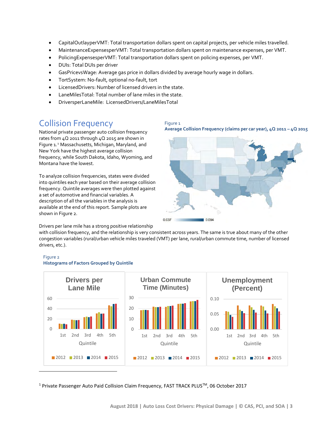- CapitalOutlayperVMT: Total transportation dollars spent on capital projects, per vehicle miles travelled.
- MaintenanceExpensesperVMT: Total transportation dollars spent on maintenance expenses, per VMT.
- PolicingExpensesperVMT: Total transportation dollars spent on policing expenses, per VMT.
- DUIs: Total DUIs per driver
- GasPricevsWage: Average gas price in dollars divided by average hourly wage in dollars.
- TortSystem: No-fault, optional no-fault, tort
- LicensedDrivers: Number of licensed drivers in the state.
- LaneMilesTotal: Total number of lane miles in the state.
- DriversperLaneMile: LicensedDrivers/LaneMilesTotal

## Collision Frequency

National private passenger auto collision frequency rates from 4Q 2011 through 4Q 2015 are shown in Figure 1.[1](#page-2-0) Massachusetts, Michigan, Maryland, and New York have the highest average collision frequency, while South Dakota, Idaho, Wyoming, and Montana have the lowest.

To analyze collision frequencies, states were divided into quintiles each year based on their average collision frequency. Quintile averages were then plotted against a set of automotive and financial variables. A description of all the variables in the analysis is available at the end of this report. Sample plots are shown in Figure 2.





Drivers per lane mile has a strong positive relationship

with collision frequency, and the relationship is very consistent across years. The same is true about many of the other congestion variables (rural/urban vehicle miles traveled (VMT) per lane, rural/urban commute time, number of licensed drivers, etc.).



#### Figure 2 **Histograms of Factors Grouped by Quintile**

<span id="page-2-0"></span><sup>1</sup> Private Passenger Auto Paid Collision Claim Frequency, FAST TRACK PLUSTM, 06 October 2017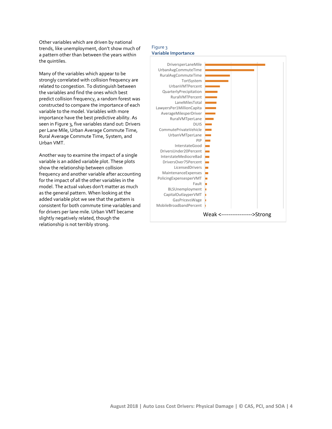Other variables which are driven by national trends, like unemployment, don't show much of a pattern other than between the years within the quintiles.

Many of the variables which appear to be strongly correlated with collision frequency are related to congestion. To distinguish between the variables and find the ones which best predict collision frequency, a random forest was constructed to compare the importance of each variable to the model. Variables with more importance have the best predictive ability. As seen in Figure 3, five variables stand out: Drivers per Lane Mile, Urban Average Commute Time, Rural Average Commute Time, System, and Urban VMT.

Another way to examine the impact of a single variable is an added variable plot. These plots show the relationship between collision frequency and another variable after accounting for the impact of all the other variables in the model. The actual values don't matter as much as the general pattern. When looking at the added variable plot we see that the pattern is consistent for both commute time variables and for drivers per lane mile. Urban VMT became slightly negatively related, though the relationship is not terribly strong.

#### Figure 3 **Variable Importance**

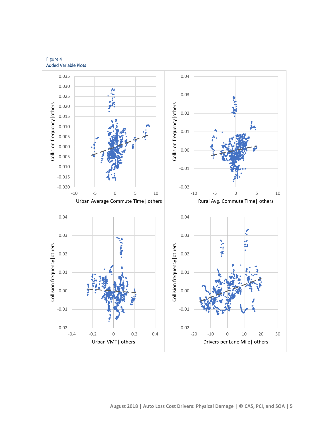Figure 4 Added Variable Plots

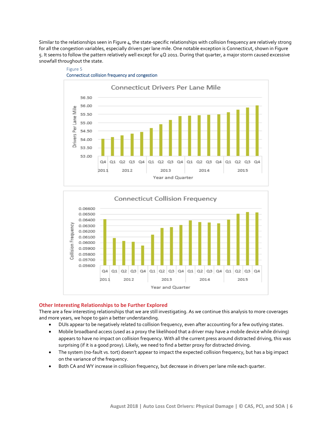Similar to the relationships seen in Figure  $4$ , the state-specific relationships with collision frequency are relatively strong for all the congestion variables, especially drivers per lane mile. One notable exception is Connecticut, shown in Figure 5. It seems to follow the pattern relatively well except for 4Q 2011. During that quarter, a major storm caused excessive snowfall throughout the state.





Figure 5



#### **Other Interesting Relationships to be Further Explored**

There are a few interesting relationships that we are still investigating. As we continue this analysis to more coverages and more years, we hope to gain a better understanding.

- DUIs appear to be negatively related to collision frequency, even after accounting for a few outlying states.
- Mobile broadband access (used as a proxy the likelihood that a driver may have a mobile device while driving) appears to have no impact on collision frequency. With all the current press around distracted driving, this was surprising (if it is a good proxy). Likely, we need to find a better proxy for distracted driving.
- The system (no-fault vs. tort) doesn't appear to impact the expected collision frequency, but has a big impact on the variance of the frequency.
- Both CA and WY increase in collision frequency, but decrease in drivers per lane mile each quarter.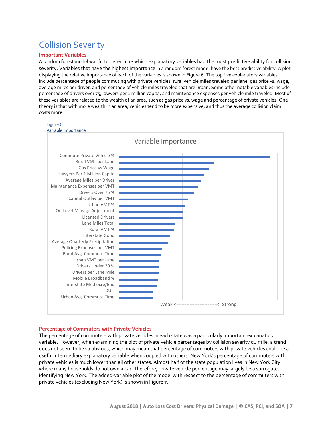## Collision Severity

#### **Important Variables**

A random forest model was fit to determine which explanatory variables had the most predictive ability for collision severity. Variables that have the highest importance in a random forest model have the best predictive ability. A plot displaying the relative importance of each of the variables is shown in Figure 6. The top five explanatory variables include percentage of people commuting with private vehicles, rural vehicle miles traveled per lane, gas price vs. wage, average miles per driver, and percentage of vehicle miles traveled that are urban. Some other notable variables include percentage of drivers over 75, lawyers per 1 million capita, and maintenance expenses per vehicle mile traveled. Most of these variables are related to the wealth of an area, such as gas price vs. wage and percentage of private vehicles. One theory is that with more wealth in an area, vehicles tend to be more expensive, and thus the average collision claim costs more.



#### **Percentage of Commuters with Private Vehicles**

The percentage of commuters with private vehicles in each state was a particularly important explanatory variable. However, when examining the plot of private vehicle percentages by collision severity quintile, a trend does not seem to be so obvious, which may mean that percentage of commuters with private vehicles could be a useful intermediary explanatory variable when coupled with others. New York's percentage of commuters with private vehicles is much lower than all other states. Almost half of the state population lives in New York City where many households do not own a car. Therefore, private vehicle percentage may largely be a surrogate, identifying New York. The added-variable plot of the model with respect to the percentage of commuters with private vehicles (excluding New York) is shown in Figure 7.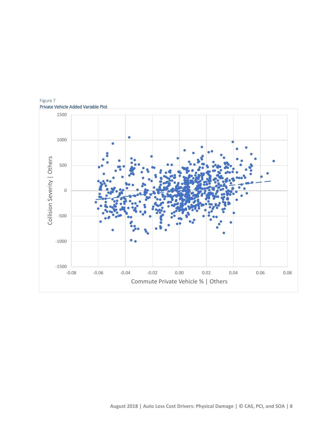

Figure 7 Private Vehicle Added Variable Plot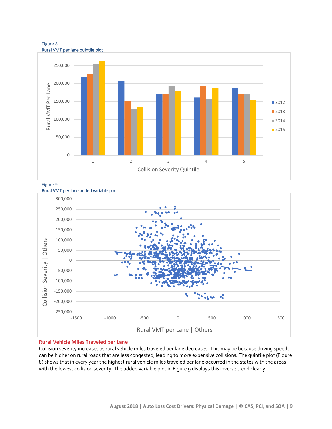



Figure 9



### **Rural Vehicle Miles Traveled per Lane**

Collision severity increases as rural vehicle miles traveled per lane decreases. This may be because driving speeds can be higher on rural roads that are less congested, leading to more expensive collisions. The quintile plot (Figure 8) shows that in every year the highest rural vehicle miles traveled per lane occurred in the states with the areas with the lowest collision severity. The added variable plot in Figure 9 displays this inverse trend clearly.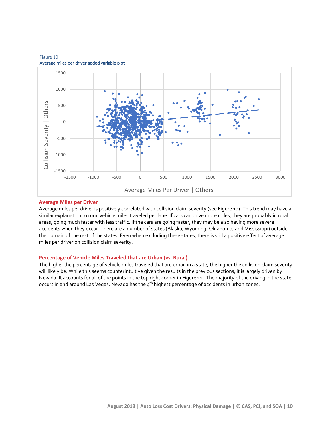

#### Figure 10 Average miles per driver added variable plot

#### **Average Miles per Driver**

Average miles per driver is positively correlated with collision claim severity (see Figure 10). This trend may have a similar explanation to rural vehicle miles traveled per lane. If cars can drive more miles, they are probably in rural areas, going much faster with less traffic. If the cars are going faster, they may be also having more severe accidents when they occur. There are a number of states (Alaska, Wyoming, Oklahoma, and Mississippi) outside the domain of the rest of the states. Even when excluding these states, there is still a positive effect of average miles per driver on collision claim severity.

#### **Percentage of Vehicle Miles Traveled that are Urban (vs. Rural)**

The higher the percentage of vehicle miles traveled that are urban in a state, the higher the collision claim severity will likely be. While this seems counterintuitive given the results in the previous sections, it is largely driven by Nevada. It accounts for all of the points in the top right corner in Figure 11. The majority of the driving in the state occurs in and around Las Vegas. Nevada has the 4<sup>th</sup> highest percentage of accidents in urban zones.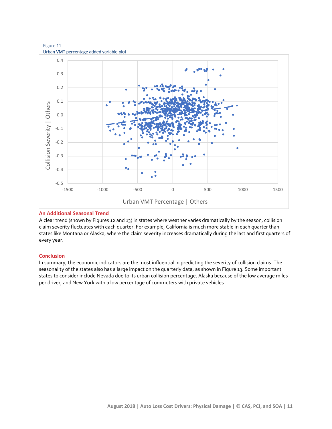Figure 11 Urban VMT percentage added variable plot



#### **An Additional Seasonal Trend**

A clear trend (shown by Figures 12 and 13) in states where weather varies dramatically by the season, collision claim severity fluctuates with each quarter. For example, California is much more stable in each quarter than states like Montana or Alaska, where the claim severity increases dramatically during the last and first quarters of every year.

#### **Conclusion**

In summary, the economic indicators are the most influential in predicting the severity of collision claims. The seasonality of the states also has a large impact on the quarterly data, as shown in Figure 13. Some important states to consider include Nevada due to its urban collision percentage, Alaska because of the low average miles per driver, and New York with a low percentage of commuters with private vehicles.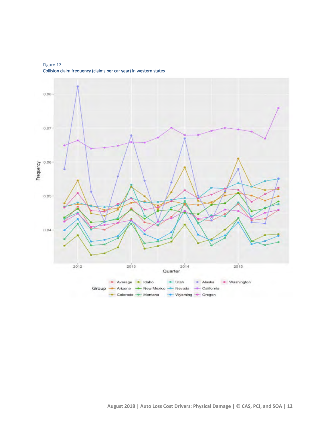Figure 12 Collision claim frequency (claims per car year) in western states

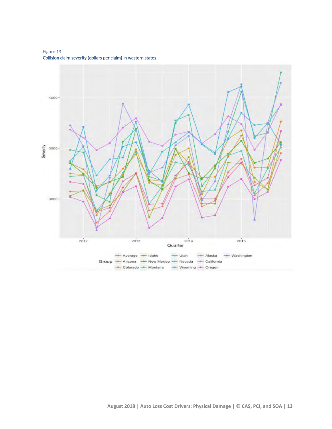Figure 13 Collision claim severity (dollars per claim) in western states

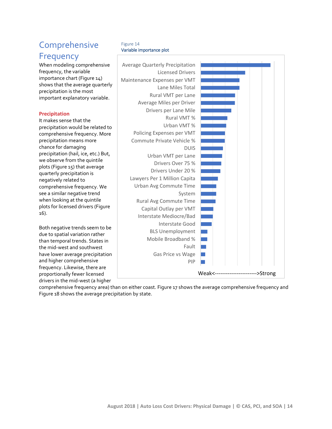## **Comprehensive Frequency**

When modeling comprehensive frequency, the variable importance chart (Figure 14) shows that the average quarterly precipitation is the most important explanatory variable.

#### **Precipitation**

It makes sense that the precipitation would be related to comprehensive frequency. More precipitation means more chance for damaging precipitation (hail, ice, etc.) But, we observe from the quintile plots (Figure 15) that average quarterly precipitation is negatively related to comprehensive frequency. We see a similar negative trend when looking at the quintile plots for licensed drivers (Figure 16).

Both negative trends seem to be due to spatial variation rather than temporal trends. States in the mid-west and southwest have lower average precipitation and higher comprehensive frequency. Likewise, there are proportionally fewer licensed drivers in the mid-west (a higher

#### Figure 14 Variable importance plot



comprehensive frequency area) than on either coast. Figure 17 shows the average comprehensive frequency and Figure 18 shows the average precipitation by state.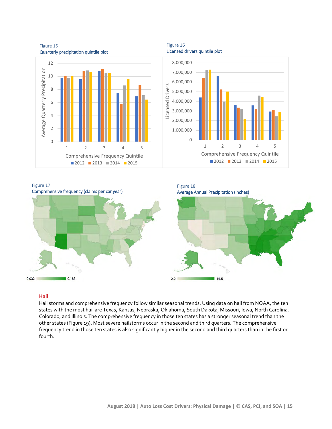Figure 15 Quarterly precipitation quintile plot



Licensed drivers quintile plot







#### **Hail**

Hail storms and comprehensive frequency follow similar seasonal trends. Using data on hail from NOAA, the ten states with the most hail are Texas, Kansas, Nebraska, Oklahoma, South Dakota, Missouri, Iowa, North Carolina, Colorado, and Illinois. The comprehensive frequency in those ten states has a stronger seasonal trend than the other states (Figure 19). Most severe hailstorms occur in the second and third quarters. The comprehensive frequency trend in those ten states is also significantly higher in the second and third quarters than in the first or fourth.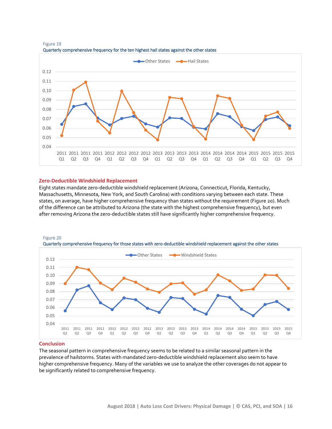

Figure 19 Quarterly comprehensive frequency for the ten highest hail states against the other states

#### **Zero-Deductible Windshield Replacement**

Eight states mandate zero-deductible windshield replacement (Arizona, Connecticut, Florida, Kentucky, Massachusetts, Minnesota, New York, and South Carolina) with conditions varying between each state. These states, on average, have higher comprehensive frequency than states without the requirement (Figure 20). Much of the difference can be attributed to Arizona (the state with the highest comprehensive frequency), but even after removing Arizona the zero-deductible states still have significantly higher comprehensive frequency.





#### **Conclusion**

The seasonal pattern in comprehensive frequency seems to be related to a similar seasonal pattern in the prevalence of hailstorms. States with mandated zero-deductible windshield replacement also seem to have higher comprehensive frequency. Many of the variables we use to analyze the other coverages do not appear to be significantly related to comprehensive frequency.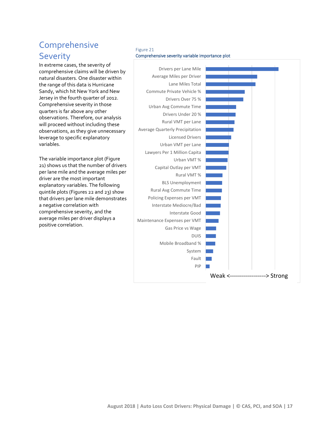## Comprehensive Severity

In extreme cases, the severity of comprehensive claims will be driven by natural disasters. One disaster within the range of this data is Hurricane Sandy, which hit New York and New Jersey in the fourth quarter of 2012. Comprehensive severity in those quarters is far above any other observations. Therefore, our analysis will proceed without including these observations, as they give unnecessary leverage to specific explanatory variables.

The variable importance plot (Figure 21) shows us that the number of drivers per lane mile and the average miles per driver are the most important explanatory variables. The following quintile plots (Figures 22 and 23) show that drivers per lane mile demonstrates a negative correlation with comprehensive severity, and the average miles per driver displays a positive correlation.

#### Figure 21 Comprehensive severity variable importance plot

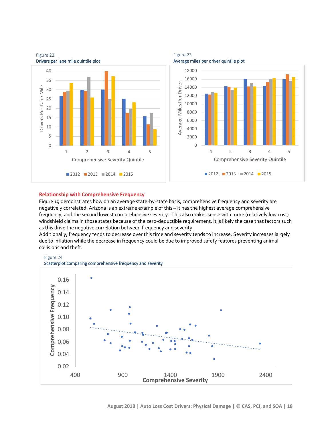

Figure 23

## Figure 22

#### **Relationship with Comprehensive Frequency**

Figure 19 demonstrates how on an average state-by-state basis, comprehensive frequency and severity are negatively correlated. Arizona is an extreme example of this – it has the highest average comprehensive frequency, and the second lowest comprehensive severity. This also makes sense with more (relatively low cost) windshield claims in those states because of the zero-deductible requirement. It is likely the case that factors such as this drive the negative correlation between frequency and severity.

Additionally, frequency tends to decrease over this time and severity tends to increase. Severity increases largely due to inflation while the decrease in frequency could be due to improved safety features preventing animal collisions and theft.





Scatterplot comparing comprehensive frequency and severity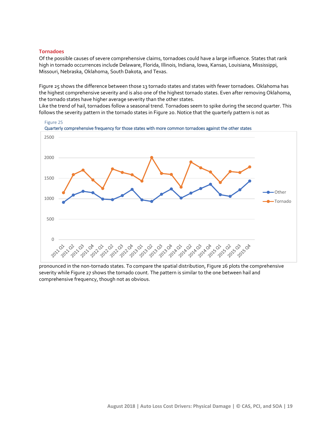#### **Tornadoes**

Of the possible causes of severe comprehensive claims, tornadoes could have a large influence. States that rank high in tornado occurrences include Delaware, Florida, Illinois, Indiana, Iowa, Kansas, Louisiana, Mississippi, Missouri, Nebraska, Oklahoma, South Dakota, and Texas.

Figure 25 shows the difference between those 13 tornado states and states with fewer tornadoes. Oklahoma has the highest comprehensive severity and is also one of the highest tornado states. Even after removing Oklahoma, the tornado states have higher average severity than the other states.

Like the trend of hail, tornadoes follow a seasonal trend. Tornadoes seem to spike during the second quarter. This follows the severity pattern in the tornado states in Figure 20. Notice that the quarterly pattern is not as



pronounced in the non-tornado states. To compare the spatial distribution, Figure 26 plots the comprehensive severity while Figure 27 shows the tornado count. The pattern is similar to the one between hail and comprehensive frequency, though not as obvious.